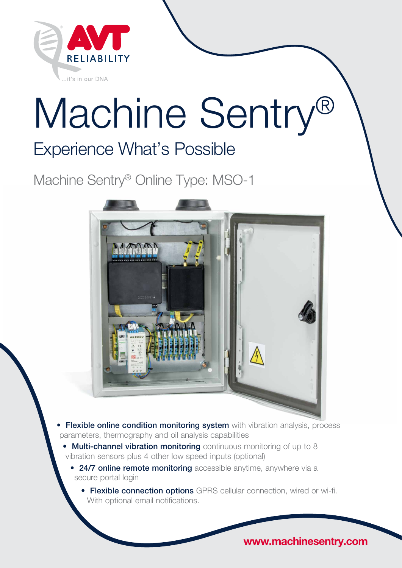

# Machine Sentry®

# Experience What's Possible

Machine Sentry® Online Type: MSO-1



- **Flexible online condition monitoring system** with vibration analysis, process parameters, thermography and oil analysis capabilities
	- Multi-channel vibration monitoring continuous monitoring of up to 8 vibration sensors plus 4 other low speed inputs (optional)
		- 24/7 online remote monitoring accessible anytime, anywhere via a secure portal login
			- Flexible connection options GPRS cellular connection, wired or wi-fi. With optional email notifications.

www.machinesentry.com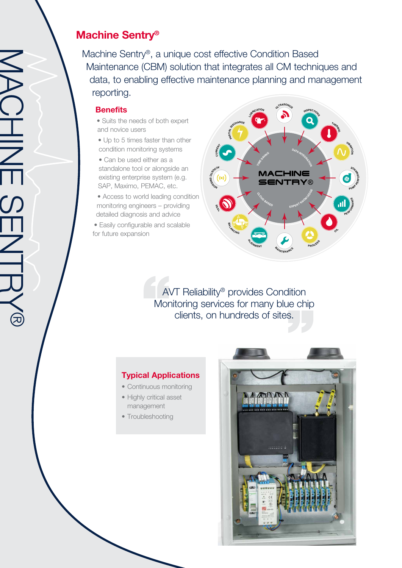## Machine Sentry®

Machine Sentry®, a unique cost effective Condition Based Maintenance (CBM) solution that integrates all CM techniques and data, to enabling effective maintenance planning and management reporting.

#### **Benefits**

- Suits the needs of both expert and novice users
- Up to 5 times faster than other condition monitoring systems
- Can be used either as a standalone tool or alongside an existing enterprise system (e.g. SAP, Maximo, PEMAC, etc.
- Access to world leading condition monitoring engineers – providing detailed diagnosis and advice
- Easily configurable and scalable for future expansion



AVT Reliability® provides Condition Monitoring services for many blue chip clients, on hundreds of sites.

#### Typical Applications

- Continuous monitoring
- Highly critical asset management
- Troubleshooting

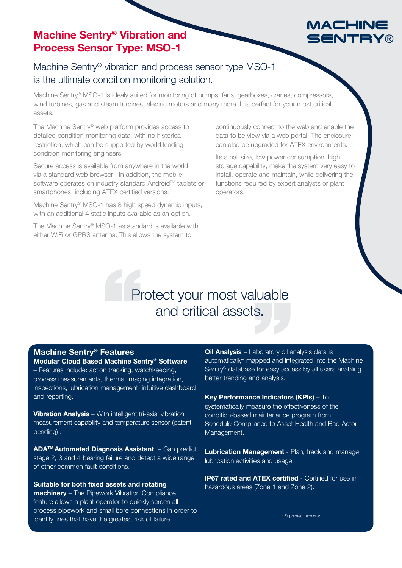### Machine Sentry® Vibration and Process Sensor Type: MSO-1

## MACHINE SENTRY

Machine Sentry® vibration and process sensor type MSO-1 is the ultimate condition monitoring solution.

Machine Sentry® MSO-1 is idealy suited for monitoring of pumps, fans, gearboxes, cranes, compressors, wind turbines, gas and steam turbines, electric motors and many more. It is perfect for your most critical assets.

The Machine Sentry® web platform provides access to detailed condition monitoring data, with no historical restriction, which can be supported by world leading condition monitoring engineers.

Secure access is available from anywhere in the world via a standard web browser. In addition, the mobile software operates on industry standard Android™ tablets or smartphones including ATEX certified versions.

Machine Sentry® MSO-1 has 8 high speed dynamic inputs, with an additional 4 static inputs available as an option.

The Machine Sentry® MSO-1 as standard is available with either WiFi or GPRS antenna. This allows the system to

continuously connect to the web and enable the data to be view via a web portal. The enclosure can also be upgraded for ATEX environments.

Its small size, low power consumption, high storage capability, make the system very easy to install, operate and maintain, while delivering the functions required by expert analysts or plant operators.

# Protect your most valuable and critical assets.

#### Machine Sentry® Features

Modular Cloud Based Machine Sentry® Software – Features include: action tracking, watchkeeping, process measurements, thermal imaging integration, inspections, lubrication management, intuitive dashboard and reporting.

Vibration Analysis - With intelligent tri-axial vibration measurement capability and temperature sensor (patent pending) .

ADA™ Automated Diagnosis Assistant – Can predict stage 2, 3 and 4 bearing failure and detect a wide range of other common fault conditions.

Suitable for both fixed assets and rotating

machinery - The Pipework Vibration Compliance feature allows a plant operator to quickly screen all process pipework and small bore connections in order to identify lines that have the greatest risk of failure.

**Oil Analysis** – Laboratory oil analysis data is automatically\* mapped and integrated into the Machine Sentry® database for easy access by all users enabling better trending and analysis.

Key Performance Indicators (KPIs) – To systematically measure the effectiveness of the condition-based maintenance program from Schedule Compliance to Asset Health and Bad Actor Management.

Lubrication Management - Plan, track and manage lubrication activities and usage.

**IP67 rated and ATEX certified - Certified for use in** hazardous areas (Zone 1 and Zone 2).

\* Supported Labs only